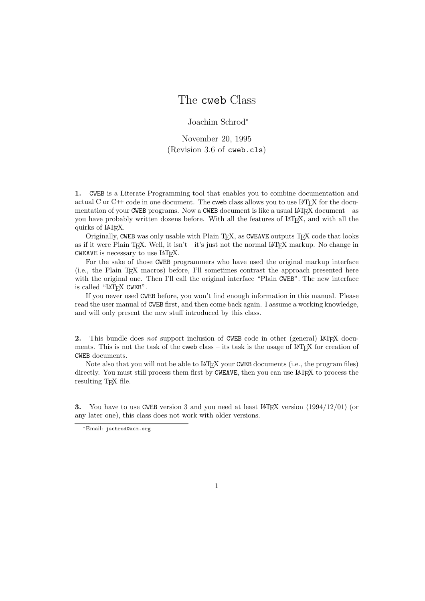# The cweb Class

Joachim Schrod<sup>∗</sup>

November 20, 1995 (Revision 3.6 of cweb.cls)

**1.** CWEB is a Literate Programming tool that enables you to combine documentation and actual C or  $C^{++}$  code in one document. The cweb class allows you to use LATFX for the documentation of your CWEB programs. Now a CWEB document is like a usual LAT<sub>E</sub>X document—as you have probably written dozens before. With all the features of LAT<sub>E</sub>X, and with all the quirks of LAT<sub>EX</sub>.

Originally, CWEB was only usable with Plain T<sub>E</sub>X, as CWEAVE outputs T<sub>E</sub>X code that looks as if it were Plain TEX. Well, it isn't—it's just not the normal IATEX markup. No change in CWEAVE is necessary to use IAT<sub>E</sub>X.

For the sake of those CWEB programmers who have used the original markup interface (i.e., the Plain TEX macros) before, I'll sometimes contrast the approach presented here with the original one. Then I'll call the original interface "Plain CWEB". The new interface is called "LAT<sub>EX</sub> CWEB".

If you never used CWEB before, you won't find enough information in this manual. Please read the user manual of CWEB first, and then come back again. I assume a working knowledge, and will only present the new stuff introduced by this class.

**2.** This bundle does *not* support inclusion of CWEB code in other (general) LAT<sub>E</sub>X documents. This is not the task of the cweb class – its task is the usage of LATEX for creation of CWEB documents.

Note also that you will not be able to LAT<sub>EX</sub> your CWEB documents (i.e., the program files) directly. You must still process them first by CWEAVE, then you can use LATEX to process the resulting T<sub>E</sub>X file.

**3.** You have to use CWEB version 3 and you need at least LAT<sub>E</sub>X version  $\langle 1994/12/01 \rangle$  (or any later one), this class does not work with older versions.

<sup>∗</sup>Email: jschrod@acm.org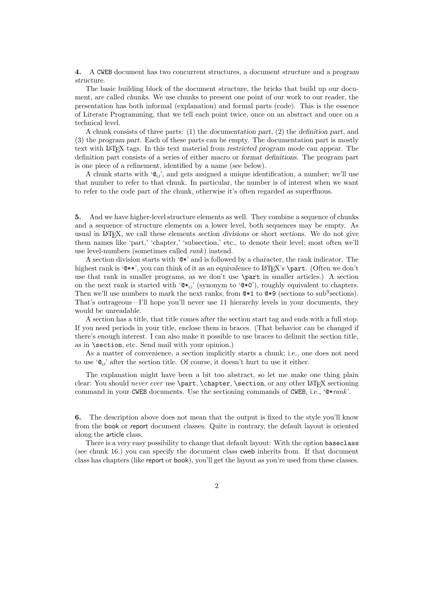**4.** A CWEB document has two concurrent structures, a *document structure* and a *program structure*.

The basic building block of the document structure, the bricks that build up our document, are called *chunks*. We use chunks to present one point of our work to our reader, the presentation has both informal (explanation) and formal parts (code). This is the essence of Literate Programming, that we tell each point twice, once on an abstract and once on a technical level.

A chunk consists of three parts: (1) the *documentation part*, (2) the *definition part*, and (3) the *program part*. Each of these parts can be empty. The documentation part is mostly text with LaTEX tags. In this text material from *restricted program mode* can appear. The definition part consists of a series of either *macro* or *format definitions*. The program part is one piece of a refinement, identified by a name (see below).

A chunk starts with ' $\mathbb{Q}_1$ ', and gets assigned a unique identification, a number; we'll use that number to refer to that chunk. In particular, the number is of interest when we want to refer to the code part of the chunk, otherwise it's often regarded as superfluous.

**5.** And we have higher-level structure elements as well. They combine a sequence of chunks and a sequence of structure elements on a lower level, both sequences may be empty. As usual in LaTEX, we call these elements *section divisions* or short *sections*. We do not give them names like 'part,' 'chapter,' 'subsection,' etc., to denote their level; most often we'll use level-numbers (sometimes called *rank*) instead.

A section division starts with '@\*' and is followed by a character, the rank indicator. The highest rank is ' $\&*$ ', you can think of it as an equivalence to  $\&TFX$ 's \part. (Often we don't use that rank in smaller programs, as we don't use \part in smaller articles.) A section on the next rank is started with  $\mathbf{e}_{\mathbf{t}}$  (synonym to  $\mathbf{e}(\mathbf{e})$ ), roughly equivalent to chapters. Then we'll use numbers to mark the next ranks, from  $*1$  to  $*9$  (sections to sub<sup>9</sup>sections). That's outrageous—I'll hope you'll never use 11 hierarchy levels in your documents, they would be unreadable.

A section has a title, that title comes after the section start tag and ends with a full stop. If you need periods in your title, enclose them in braces. (That behavior can be changed if there's enough interest. I can also make it possible to use braces to delimit the section title, as in \section, etc. Send mail with your opinion.)

As a matter of convenience, a section implicitly starts a chunk; i.e., one does not need to use  $\mathcal{C}_{\mathsf{L}}$  after the section title. Of course, it doesn't hurt to use it either.

The explanation might have been a bit too abstract, so let me make one thing plain clear: You should *never ever* use **\part, \chapter, \section**, or any other LAT<sub>E</sub>X sectioning command in your CWEB documents. Use the sectioning commands of CWEB, i.e., '@\**rank*'.

**6.** The description above does not mean that the output is fixed to the style you'll know from the book or report document classes. Quite in contrary, the default layout is oriented along the article class.

There is a very easy possibility to change that default layout: With the option baseclass (see chunk 16.) you can specify the document class cweb inherits from. If that document class has chapters (like report or book), you'll get the layout as you're used from these classes.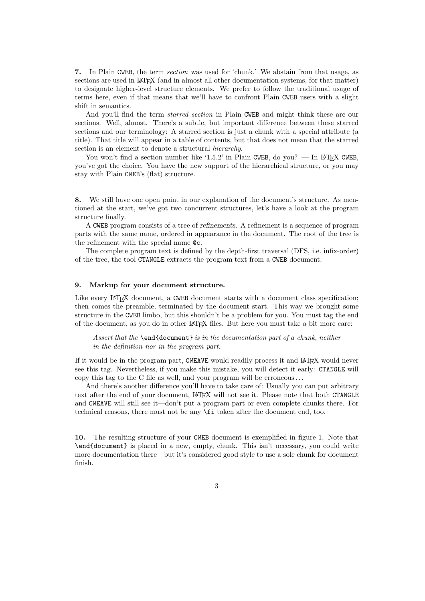**7.** In Plain CWEB, the term *section* was used for 'chunk.' We abstain from that usage, as sections are used in LAT<sub>EX</sub> (and in almost all other documentation systems, for that matter) to designate higher-level structure elements. We prefer to follow the traditional usage of terms here, even if that means that we'll have to confront Plain CWEB users with a slight shift in semantics.

And you'll find the term *starred section* in Plain CWEB and might think these are our sections. Well, almost. There's a subtle, but important difference between these starred sections and our terminology: A starred section is just a chunk with a special attribute (a title). That title will appear in a table of contents, but that does not mean that the starred section is an element to denote a structural *hierarchy*.

You won't find a section number like '1.5.2' in Plain CWEB, do you? — In LAT<sub>E</sub>X CWEB, you've got the choice. You have the new support of the hierarchical structure, or you may stay with Plain CWEB's (flat) structure.

**8.** We still have one open point in our explanation of the document's structure. As mentioned at the start, we've got two concurrent structures, let's have a look at the program structure finally.

A CWEB program consists of a tree of *refinements*. A refinement is a sequence of program parts with the same name, ordered in appearance in the document. The root of the tree is the refinement with the special name @c.

The complete program text is defined by the depth-first traversal (DFS, i.e. infix-order) of the tree, the tool CTANGLE extracts the program text from a CWEB document.

# **9. Markup for your document structure.**

Like every LAT<sub>EX</sub> document, a CWEB document starts with a document class specification; then comes the preamble, terminated by the document start. This way we brought some structure in the CWEB limbo, but this shouldn't be a problem for you. You must tag the end of the document, as you do in other LATEX files. But here you must take a bit more care:

*Assert that the* \end{document} *is in the documentation part of a chunk, neither in the definition nor in the program part.*

If it would be in the program part, CWEAVE would readily process it and LATEX would never see this tag. Nevertheless, if you make this mistake, you will detect it early: CTANGLE will copy this tag to the C file as well, and your program will be erroneous . . .

And there's another difference you'll have to take care of: Usually you can put arbitrary text after the end of your document, LATEX will not see it. Please note that both CTANGLE and CWEAVE will still see it—don't put a program part or even complete chunks there. For technical reasons, there must not be any \fi token after the document end, too.

**10.** The resulting structure of your CWEB document is exemplified in figure 1. Note that \end{document} is placed in a new, empty, chunk. This isn't necessary, you could write more documentation there—but it's considered good style to use a sole chunk for document finish.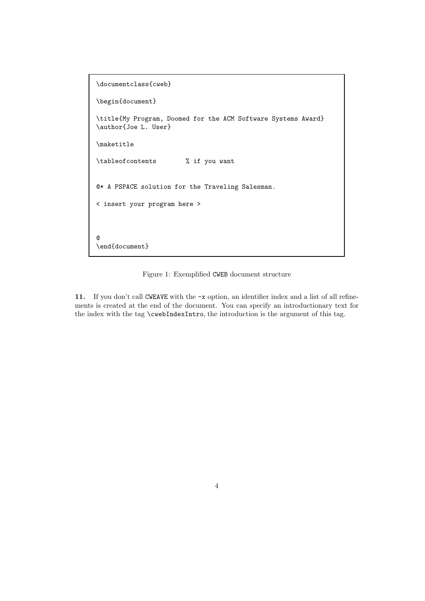```
\documentclass{cweb}
\begin{document}
\title{My Program, Doomed for the ACM Software Systems Award}
\author{Joe L. User}
\maketitle
\tableofcontents % if you want
@* A PSPACE solution for the Traveling Salesman.
< insert your program here >
@
\end{document}
```
Figure 1: Exemplified CWEB document structure

**11.** If you don't call CWEAVE with the -x option, an identifier index and a list of all refinements is created at the end of the document. You can specify an introductionary text for the index with the tag \cwebIndexIntro, the introduction is the argument of this tag.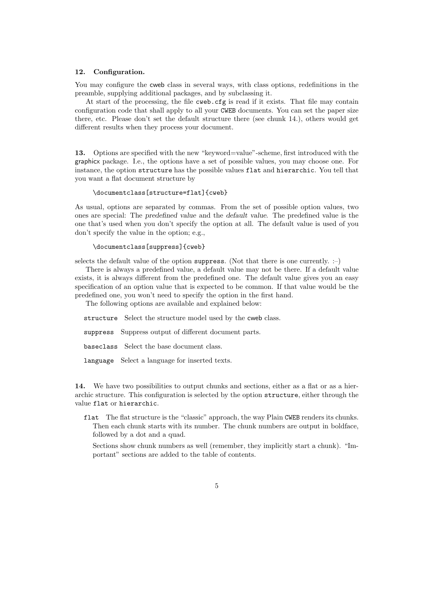# **12. Configuration.**

You may configure the cweb class in several ways, with class options, redefinitions in the preamble, supplying additional packages, and by subclassing it.

At start of the processing, the file cweb.cfg is read if it exists. That file may contain configuration code that shall apply to all your CWEB documents. You can set the paper size there, etc. Please don't set the default structure there (see chunk 14.), others would get different results when they process your document.

**13.** Options are specified with the new "keyword=value"-scheme, first introduced with the graphicx package. I.e., the options have a set of possible values, you may choose one. For instance, the option structure has the possible values flat and hierarchic. You tell that you want a flat document structure by

## \documentclass[structure=flat]{cweb}

As usual, options are separated by commas. From the set of possible option values, two ones are special: The *predefined value* and the *default value*. The predefined value is the one that's used when you don't specify the option at all. The default value is used of you don't specify the value in the option; e.g.,

## \documentclass[suppress]{cweb}

selects the default value of the option suppress. (Not that there is one currently. :-)

There is always a predefined value, a default value may not be there. If a default value exists, it is always different from the predefined one. The default value gives you an easy specification of an option value that is expected to be common. If that value would be the predefined one, you won't need to specify the option in the first hand.

The following options are available and explained below:

structure Select the structure model used by the cweb class.

suppress Suppress output of different document parts.

baseclass Select the base document class.

language Select a language for inserted texts.

14. We have two possibilities to output chunks and sections, either as a flat or as a hierarchic structure. This configuration is selected by the option structure, either through the value flat or hierarchic.

flat The flat structure is the "classic" approach, the way Plain CWEB renders its chunks. Then each chunk starts with its number. The chunk numbers are output in boldface, followed by a dot and a quad.

Sections show chunk numbers as well (remember, they implicitly start a chunk). "Important" sections are added to the table of contents.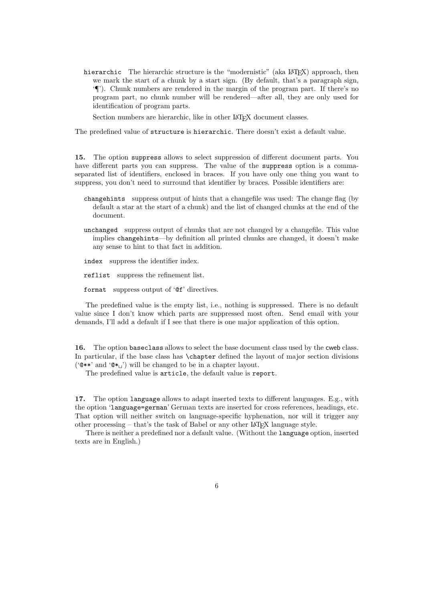hierarchic The hierarchic structure is the "modernistic" (aka LAT<sub>EX</sub>) approach, then we mark the start of a chunk by a start sign. (By default, that's a paragraph sign, '¶'). Chunk numbers are rendered in the margin of the program part. If there's no program part, no chunk number will be rendered—after all, they are only used for identification of program parts.

Section numbers are hierarchic, like in other LAT<sub>E</sub>X document classes.

The predefined value of structure is hierarchic. There doesn't exist a default value.

**15.** The option suppress allows to select suppression of different document parts. You have different parts you can suppress. The value of the suppress option is a commaseparated list of identifiers, enclosed in braces. If you have only one thing you want to suppress, you don't need to surround that identifier by braces. Possible identifiers are:

- changehints suppress output of hints that a changefile was used: The change flag (by default a star at the start of a chunk) and the list of changed chunks at the end of the document.
- unchanged suppress output of chunks that are not changed by a changefile. This value implies changehints—by definition all printed chunks are changed, it doesn't make any sense to hint to that fact in addition.

index suppress the identifier index.

reflist suppress the refinement list.

format suppress output of '@f' directives.

The predefined value is the empty list, i.e., nothing is suppressed. There is no default value since I don't know which parts are suppressed most often. Send email with your demands, I'll add a default if I see that there is one major application of this option.

**16.** The option baseclass allows to select the base document class used by the cweb class. In particular, if the base class has \chapter defined the layout of major section divisions (' $\mathbb{Q}$ \*\*' and ' $\mathbb{Q}$ \*<sub>L</sub>') will be changed to be in a chapter layout.

The predefined value is article, the default value is report.

**17.** The option language allows to adapt inserted texts to different languages. E.g., with the option 'language=german' German texts are inserted for cross references, headings, etc. That option will neither switch on language-specific hyphenation, nor will it trigger any other processing – that's the task of Babel or any other  $IATFX$  language style.

There is neither a predefined nor a default value. (Without the language option, inserted texts are in English.)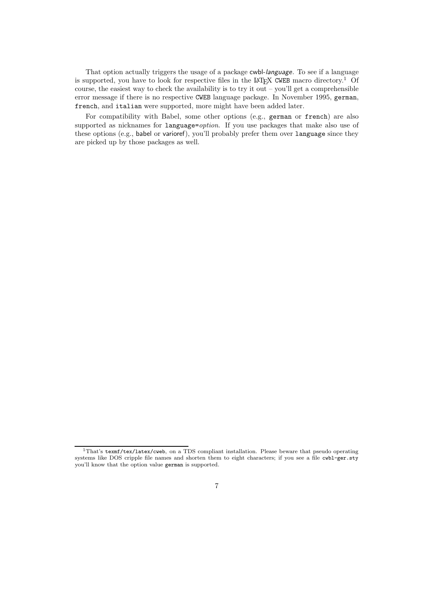That option actually triggers the usage of a package cwbl-*language*. To see if a language is supported, you have to look for respective files in the LAT<sub>E</sub>X CWEB macro directory.<sup>1</sup> Of course, the easiest way to check the availability is to try it out – you'll get a comprehensible error message if there is no respective CWEB language package. In November 1995, german, french, and italian were supported, more might have been added later.

For compatibility with Babel, some other options (e.g., german or french) are also supported as nicknames for language=*option*. If you use packages that make also use of these options (e.g., babel or varioref), you'll probably prefer them over language since they are picked up by those packages as well.

<sup>&</sup>lt;sup>1</sup>That's texmf/tex/latex/cweb, on a TDS compliant installation. Please beware that pseudo operating systems like DOS cripple file names and shorten them to eight characters; if you see a file cwbl-ger.sty you'll know that the option value german is supported.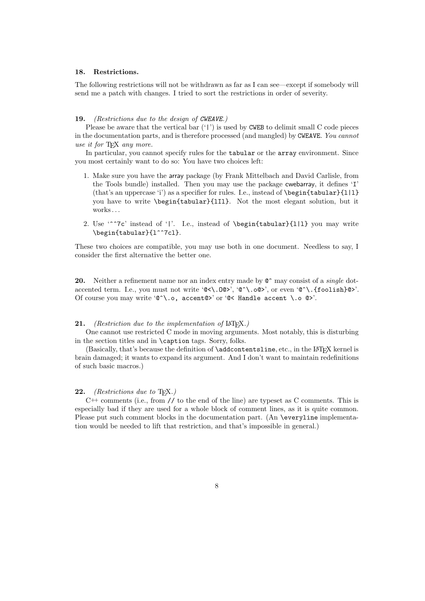# **18. Restrictions.**

The following restrictions will not be withdrawn as far as I can see—except if somebody will send me a patch with changes. I tried to sort the restrictions in order of severity.

#### **19.** *(Restrictions due to the design of CWEAVE.)*

Please be aware that the vertical bar  $(')'$  is used by CWEB to delimit small C code pieces in the documentation parts, and is therefore processed (and mangled) by CWEAVE. *You cannot use it for* TEX *any more.*

In particular, you cannot specify rules for the tabular or the array environment. Since you most certainly want to do so: You have two choices left:

- 1. Make sure you have the array package (by Frank Mittelbach and David Carlisle, from the Tools bundle) installed. Then you may use the package cwebarray, it defines 'I' (that's an uppercase 'i') as a specifier for rules. I.e., instead of \begin{tabular}{l|l} you have to write \begin{tabular}{lIl}. Not the most elegant solution, but it works . . .
- 2. Use '^^7c' instead of '|'. I.e., instead of \begin{tabular}{l|l} you may write \begin{tabular}{l^^7cl}.

These two choices are compatible, you may use both in one document. Needless to say, I consider the first alternative the better one.

**20.** Neither a refinement name nor an index entry made by  $\mathbb{C}^{\dagger}$  may consist of a *single* dotaccented term. I.e., you must not write '@<\.0@>', '@^\.o@>', or even '@^\.{foolish}@>'. Of course you may write  $\circledcirc$  \.o, accent  $\circledcirc$  or  $\circledcirc$  Handle accent \.o  $\circledcirc$  >'.

## 21. *(Restriction due to the implementation of* LAT<sub>E</sub>X.)

One cannot use restricted C mode in moving arguments. Most notably, this is disturbing in the section titles and in \caption tags. Sorry, folks.

(Basically, that's because the definition of **\addcontentsline**, etc., in the LAT<sub>E</sub>X kernel is brain damaged; it wants to expand its argument. And I don't want to maintain redefinitions of such basic macros.)

#### **22.** *(Restrictions due to* TEX*.)*

 $C^{++}$  comments (i.e., from // to the end of the line) are typeset as C comments. This is especially bad if they are used for a whole block of comment lines, as it is quite common. Please put such comment blocks in the documentation part. (An \everyline implementation would be needed to lift that restriction, and that's impossible in general.)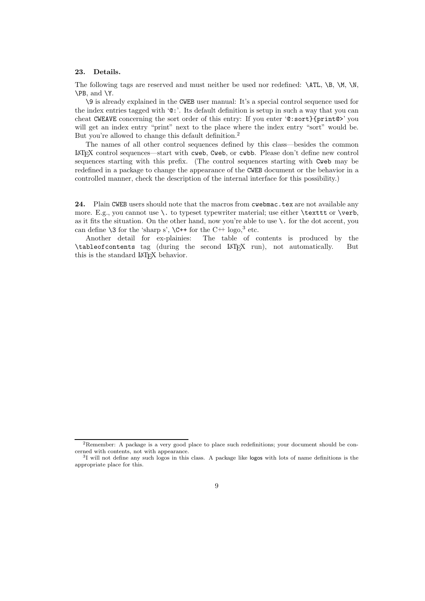# **23. Details.**

The following tags are reserved and must neither be used nor redefined:  $\Lambda T L$ ,  $\B$ ,  $\M$ ,  $\M$ , \PB, and \Y.

\9 is already explained in the CWEB user manual: It's a special control sequence used for the index entries tagged with '@:'. Its default definition is setup in such a way that you can cheat CWEAVE concerning the sort order of this entry: If you enter '@:sort}{print@>' you will get an index entry "print" next to the place where the index entry "sort" would be. But you're allowed to change this default definition.<sup>2</sup>

The names of all other control sequences defined by this class—besides the common <sup>L</sup>aTEX control sequences—start with cweb, Cweb, or cwbb. Please don't define new control sequences starting with this prefix. (The control sequences starting with Cweb may be redefined in a package to change the appearance of the CWEB document or the behavior in a controlled manner, check the description of the internal interface for this possibility.)

**24.** Plain CWEB users should note that the macros from cwebmac.tex are not available any more. E.g., you cannot use \. to typeset typewriter material; use either \texttt or \verb, as it fits the situation. On the other hand, now you're able to use  $\setminus$ . for the dot accent, you can define  $\3$  for the 'sharp s',  $\C{++}$  for the  $C++$  logo,<sup>3</sup> etc.

Another detail for ex-plainies: The table of contents is produced by the \tableofcontents tag (during the second LaTEX run), not automatically. But this is the standard LAT<sub>E</sub>X behavior.

<sup>2</sup>Remember: A package is a very good place to place such redefinitions; your document should be concerned with contents, not with appearance.

<sup>3</sup>I will not define any such logos in this class. A package like logos with lots of name definitions is the appropriate place for this.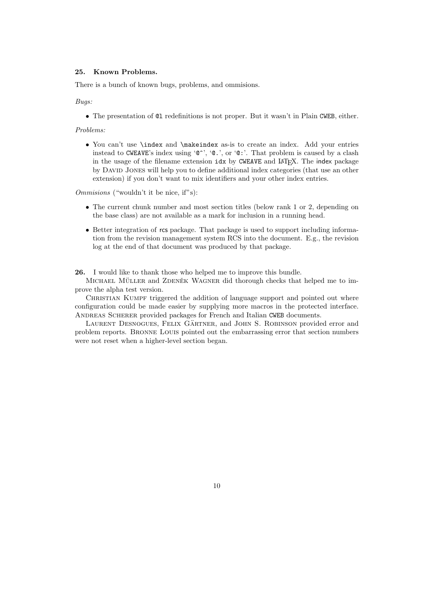# **25. Known Problems.**

There is a bunch of known bugs, problems, and ommisions.

*Bugs:*

• The presentation of @l redefinitions is not proper. But it wasn't in Plain CWEB, either.

*Problems:*

• You can't use \index and \makeindex as-is to create an index. Add your entries instead to CWEAVE's index using '@^', '@.', or '@:'. That problem is caused by a clash in the usage of the filename extension  $idx$  by CWEAVE and LAT<sub>E</sub>X. The index package by David Jones will help you to define additional index categories (that use an other extension) if you don't want to mix identifiers and your other index entries.

*Ommisions* ("wouldn't it be nice, if"s):

- The current chunk number and most section titles (below rank 1 or 2, depending on the base class) are not available as a mark for inclusion in a running head.
- Better integration of rcs package. That package is used to support including information from the revision management system RCS into the document. E.g., the revision log at the end of that document was produced by that package.

**26.** I would like to thank those who helped me to improve this bundle.

MICHAEL MÜLLER and ZDENĚK WAGNER did thorough checks that helped me to improve the alpha test version.

CHRISTIAN KUMPF triggered the addition of language support and pointed out where configuration could be made easier by supplying more macros in the protected interface. ANDREAS SCHERER provided packages for French and Italian CWEB documents.

LAURENT DESNOGUES, FELIX GÄRTNER, and JOHN S. ROBINSON provided error and problem reports. Bronne Louis pointed out the embarrassing error that section numbers were not reset when a higher-level section began.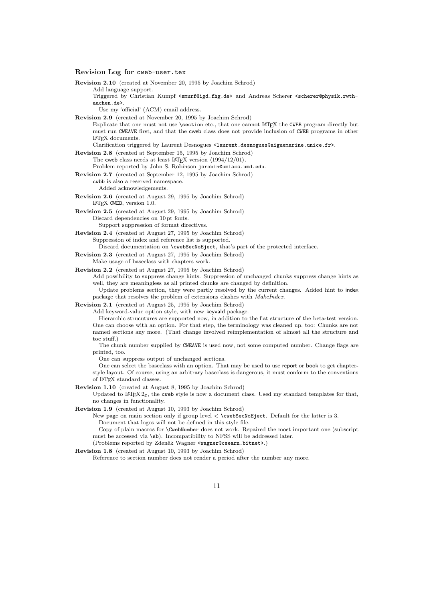### **Revision Log for** cweb-user.tex

**Revision 2.10** (created at November 20, 1995 by Joachim Schrod) Add language support. Triggered by Christian Kumpf <smurf@igd.fhg.de> and Andreas Scherer <scherer@physik.rwthaachen.de>. Use my 'official' (ACM) email address. **Revision 2.9** (created at November 20, 1995 by Joachim Schrod) Explicate that one must not use \section etc., that one cannot LATEX the CWEB program directly but must run CWEAVE first, and that the cweb class does not provide inclusion of CWEB programs in other <sup>L</sup>aTEX documents. Clarification triggered by Laurent Desnogues <laurent.desnogues@aiguemarine.unice.fr>. **Revision 2.8** (created at September 15, 1995 by Joachim Schrod) The cweb class needs at least  $\text{LATEX}$  version  $\langle 1994/12/01 \rangle$ . Problem reported by John S. Robinson jsrobin@umiacs.umd.edu. **Revision 2.7** (created at September 12, 1995 by Joachim Schrod) cwbb is also a reserved namespace. Added acknowledgements. **Revision 2.6** (created at August 29, 1995 by Joachim Schrod) <sup>L</sup>aTEX CWEB, version 1.0. **Revision 2.5** (created at August 29, 1995 by Joachim Schrod) Discard dependencies on 10 pt fonts. Support suppression of format directives. **Revision 2.4** (created at August 27, 1995 by Joachim Schrod) Suppression of index and reference list is supported. Discard documentation on \cwebSecNoEject, that's part of the protected interface. **Revision 2.3** (created at August 27, 1995 by Joachim Schrod) Make usage of baseclass with chapters work. **Revision 2.2** (created at August 27, 1995 by Joachim Schrod) Add possibility to suppress change hints. Suppression of unchanged chunks suppress change hints as well, they are meaningless as all printed chunks are changed by definition. Update problems section, they were partly resolved by the current changes. Added hint to index package that resolves the problem of extensions clashes with *MakeIndex*. **Revision 2.1** (created at August 25, 1995 by Joachim Schrod)

Add keyword-value option style, with new keyvald package.

Hierarchic strucutures are supported now, in addition to the flat structure of the beta-test version. One can choose with an option. For that step, the terminology was cleaned up, too: Chunks are not named sections any more. (That change involved reimplementation of almost all the structure and toc stuff.)

The chunk number supplied by CWEAVE is used now, not some computed number. Change flags are printed, too.

One can suppress output of unchanged sections.

One can select the baseclass with an option. That may be used to use report or book to get chapterstyle layout. Of course, using an arbitrary baseclass is dangerous, it must conform to the conventions of IAT<sub>E</sub>X standard classes.

**Revision 1.10** (created at August 8, 1995 by Joachim Schrod)

Updated to LATEX  $2\varepsilon$ , the cweb style is now a document class. Used my standard templates for that, no changes in functionality.

**Revision 1.9** (created at August 10, 1993 by Joachim Schrod)

New page on main section only if group level < \cwebSecNoEject. Default for the latter is 3. Document that logos will not be defined in this style file.

Copy of plain macros for \CwebNumber does not work. Repaired the most important one (subscript must be accessed via  $\succeq$ sb). Incompatibility to NFSS will be addressed later.

(Problems reported by Zdeněk Wagner <wagner@csearn.bitnet>.)

**Revision 1.8** (created at August 10, 1993 by Joachim Schrod)

Reference to section number does not render a period after the number any more.